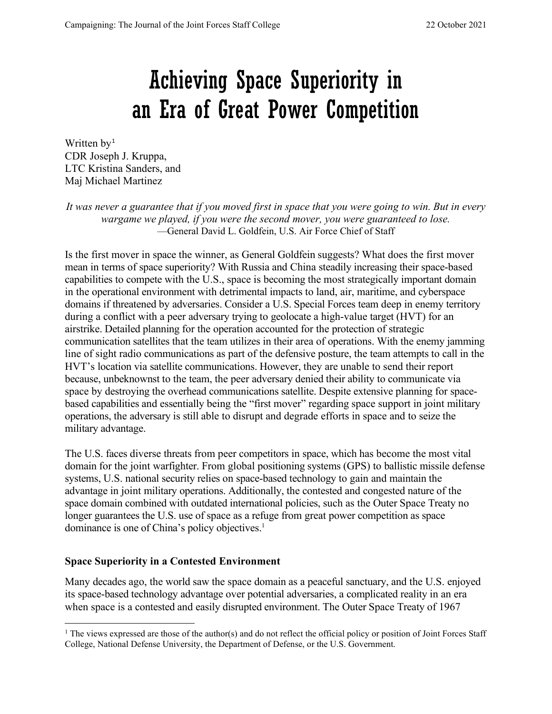# Achieving Space Superiority in an Era of Great Power Competition

Written by<sup>[1](#page-0-0)</sup> CDR Joseph J. Kruppa, LTC Kristina Sanders, and Maj Michael Martinez

*It was never a guarantee that if you moved first in space that you were going to win. But in every wargame we played, if you were the second mover, you were guaranteed to lose.* —General David L. Goldfein, U.S. Air Force Chief of Staff

Is the first mover in space the winner, as General Goldfein suggests? What does the first mover mean in terms of space superiority? With Russia and China steadily increasing their space-based capabilities to compete with the U.S., space is becoming the most strategically important domain in the operational environment with detrimental impacts to land, air, maritime, and cyberspace domains if threatened by adversaries. Consider a U.S. Special Forces team deep in enemy territory during a conflict with a peer adversary trying to geolocate a high-value target (HVT) for an airstrike. Detailed planning for the operation accounted for the protection of strategic communication satellites that the team utilizes in their area of operations. With the enemy jamming line of sight radio communications as part of the defensive posture, the team attempts to call in the HVT's location via satellite communications. However, they are unable to send their report because, unbeknownst to the team, the peer adversary denied their ability to communicate via space by destroying the overhead communications satellite. Despite extensive planning for spacebased capabilities and essentially being the "first mover" regarding space support in joint military operations, the adversary is still able to disrupt and degrade efforts in space and to seize the military advantage.

The U.S. faces diverse threats from peer competitors in space, which has become the most vital domain for the joint warfighter. From global positioning systems (GPS) to ballistic missile defense systems, U.S. national security relies on space-based technology to gain and maintain the advantage in joint military operations. Additionally, the contested and congested nature of the space domain combined with outdated international policies, such as the Outer Space Treaty no longer guarantees the U.S. use of space as a refuge from great power competition as space dominance is one of China's policy objectives. 1

# **Space Superiority in a Contested Environment**

Many decades ago, the world saw the space domain as a peaceful sanctuary, and the U.S. enjoyed its space-based technology advantage over potential adversaries, a complicated reality in an era when space is a contested and easily disrupted environment. The Outer Space Treaty of 1967

<span id="page-0-0"></span> $1$  The views expressed are those of the author(s) and do not reflect the official policy or position of Joint Forces Staff College, National Defense University, the Department of Defense, or the U.S. Government.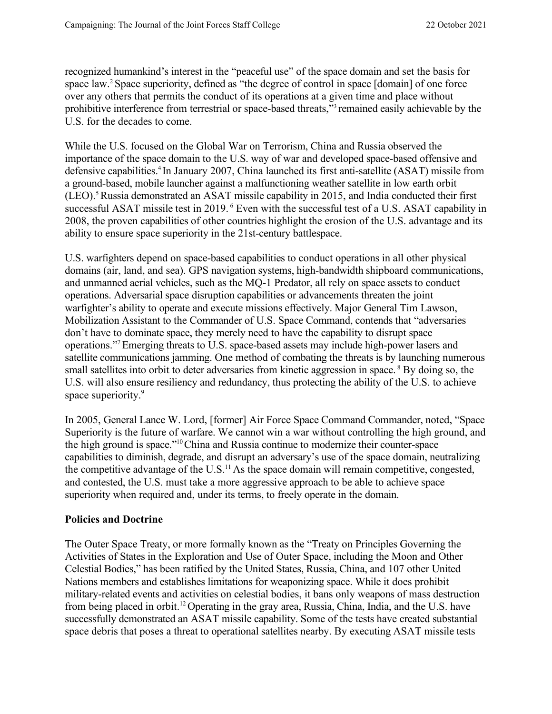recognized humankind's interest in the "peaceful use" of the space domain and set the basis for space law.<sup>2</sup> Space superiority, defined as "the degree of control in space [domain] of one force over any others that permits the conduct of its operations at a given time and place without prohibitive interference from terrestrial or space-based threats,"3 remained easily achievable by the U.S. for the decades to come.

While the U.S. focused on the Global War on Terrorism, China and Russia observed the importance of the space domain to the U.S. way of war and developed space-based offensive and defensive capabilities.<sup>4</sup> In January 2007, China launched its first anti-satellite (ASAT) missile from a ground-based, mobile launcher against a malfunctioning weather satellite in low earth orbit (LEO).5Russia demonstrated an ASAT missile capability in 2015, and India conducted their first successful ASAT missile test in 2019. <sup>6</sup> Even with the successful test of a U.S. ASAT capability in 2008, the proven capabilities of other countries highlight the erosion of the U.S. advantage and its ability to ensure space superiority in the 21st-century battlespace.

U.S. warfighters depend on space-based capabilities to conduct operations in all other physical domains (air, land, and sea). GPS navigation systems, high-bandwidth shipboard communications, and unmanned aerial vehicles, such as the MQ-1 Predator, all rely on space assets to conduct operations. Adversarial space disruption capabilities or advancements threaten the joint warfighter's ability to operate and execute missions effectively. Major General Tim Lawson, Mobilization Assistant to the Commander of U.S. Space Command, contends that "adversaries don't have to dominate space, they merely need to have the capability to disrupt space operations."7Emerging threats to U.S. space-based assets may include high-power lasers and satellite communications jamming. One method of combating the threats is by launching numerous small satellites into orbit to deter adversaries from kinetic aggression in space.<sup>8</sup> By doing so, the U.S. will also ensure resiliency and redundancy, thus protecting the ability of the U.S. to achieve space superiority.<sup>9</sup>

In 2005, General Lance W. Lord, [former] Air Force Space Command Commander, noted, "Space Superiority is the future of warfare. We cannot win a war without controlling the high ground, and the high ground is space."10China and Russia continue to modernize their counter-space capabilities to diminish, degrade, and disrupt an adversary's use of the space domain, neutralizing the competitive advantage of the U.S. $<sup>11</sup>$  As the space domain will remain competitive, congested,</sup> and contested, the U.S. must take a more aggressive approach to be able to achieve space superiority when required and, under its terms, to freely operate in the domain.

#### **Policies and Doctrine**

The Outer Space Treaty, or more formally known as the "Treaty on Principles Governing the Activities of States in the Exploration and Use of Outer Space, including the Moon and Other Celestial Bodies," has been ratified by the United States, Russia, China, and 107 other United Nations members and establishes limitations for weaponizing space. While it does prohibit military-related events and activities on celestial bodies, it bans only weapons of mass destruction from being placed in orbit.12 Operating in the gray area, Russia, China, India, and the U.S. have successfully demonstrated an ASAT missile capability. Some of the tests have created substantial space debris that poses a threat to operational satellites nearby. By executing ASAT missile tests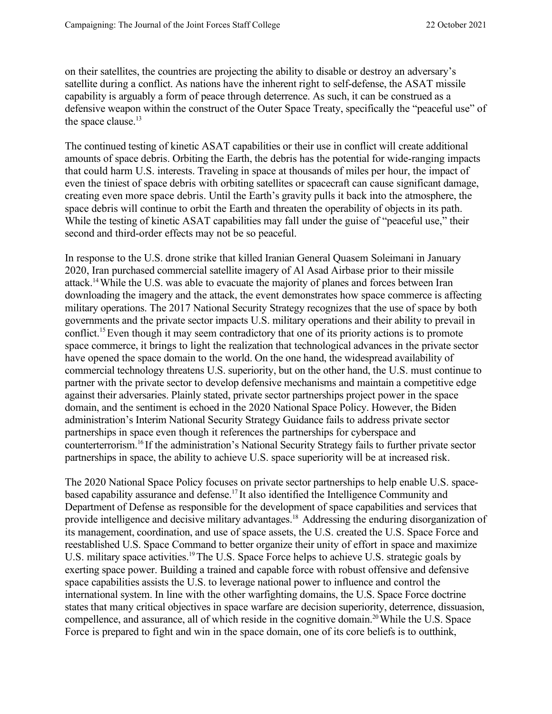on their satellites, the countries are projecting the ability to disable or destroy an adversary's satellite during a conflict. As nations have the inherent right to self-defense, the ASAT missile capability is arguably a form of peace through deterrence. As such, it can be construed as a defensive weapon within the construct of the Outer Space Treaty, specifically the "peaceful use" of the space clause.<sup>13</sup>

The continued testing of kinetic ASAT capabilities or their use in conflict will create additional amounts of space debris. Orbiting the Earth, the debris has the potential for wide-ranging impacts that could harm U.S. interests. Traveling in space at thousands of miles per hour, the impact of even the tiniest of space debris with orbiting satellites or spacecraft can cause significant damage, creating even more space debris. Until the Earth's gravity pulls it back into the atmosphere, the space debris will continue to orbit the Earth and threaten the operability of objects in its path. While the testing of kinetic ASAT capabilities may fall under the guise of "peaceful use," their second and third-order effects may not be so peaceful.

In response to the U.S. drone strike that killed Iranian General Quasem Soleimani in January 2020, Iran purchased commercial satellite imagery of Al Asad Airbase prior to their missile attack.14While the U.S. was able to evacuate the majority of planes and forces between Iran downloading the imagery and the attack, the event demonstrates how space commerce is affecting military operations. The 2017 National Security Strategy recognizes that the use of space by both governments and the private sector impacts U.S. military operations and their ability to prevail in conflict.<sup>15</sup> Even though it may seem contradictory that one of its priority actions is to promote space commerce, it brings to light the realization that technological advances in the private sector have opened the space domain to the world. On the one hand, the widespread availability of commercial technology threatens U.S. superiority, but on the other hand, the U.S. must continue to partner with the private sector to develop defensive mechanisms and maintain a competitive edge against their adversaries. Plainly stated, private sector partnerships project power in the space domain, and the sentiment is echoed in the 2020 National Space Policy. However, the Biden administration's Interim National Security Strategy Guidance fails to address private sector partnerships in space even though it references the partnerships for cyberspace and counterterrorism.16 If the administration's National Security Strategy fails to further private sector partnerships in space, the ability to achieve U.S. space superiority will be at increased risk.

The 2020 National Space Policy focuses on private sector partnerships to help enable U.S. spacebased capability assurance and defense.<sup>17</sup> It also identified the Intelligence Community and Department of Defense as responsible for the development of space capabilities and services that provide intelligence and decisive military advantages.<sup>18</sup> Addressing the enduring disorganization of its management, coordination, and use of space assets, the U.S. created the U.S. Space Force and reestablished U.S. Space Command to better organize their unity of effort in space and maximize U.S. military space activities.<sup>19</sup> The U.S. Space Force helps to achieve U.S. strategic goals by exerting space power. Building a trained and capable force with robust offensive and defensive space capabilities assists the U.S. to leverage national power to influence and control the international system. In line with the other warfighting domains, the U.S. Space Force doctrine states that many critical objectives in space warfare are decision superiority, deterrence, dissuasion, compellence, and assurance, all of which reside in the cognitive domain.<sup>20</sup> While the U.S. Space Force is prepared to fight and win in the space domain, one of its core beliefs is to outthink,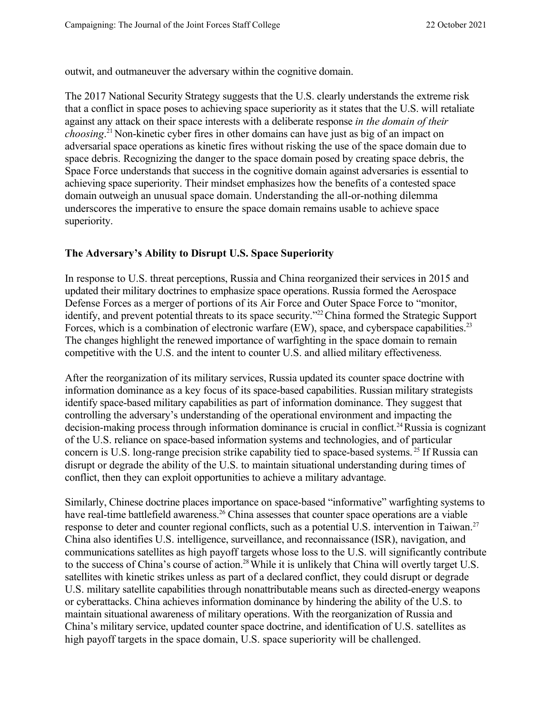outwit, and outmaneuver the adversary within the cognitive domain.

The 2017 National Security Strategy suggests that the U.S. clearly understands the extreme risk that a conflict in space poses to achieving space superiority as it states that the U.S. will retaliate against any attack on their space interests with a deliberate response *in the domain of their choosing*. <sup>21</sup> Non-kinetic cyber fires in other domains can have just as big of an impact on adversarial space operations as kinetic fires without risking the use of the space domain due to space debris. Recognizing the danger to the space domain posed by creating space debris, the Space Force understands that success in the cognitive domain against adversaries is essential to achieving space superiority. Their mindset emphasizes how the benefits of a contested space domain outweigh an unusual space domain. Understanding the all-or-nothing dilemma underscores the imperative to ensure the space domain remains usable to achieve space superiority.

### **The Adversary's Ability to Disrupt U.S. Space Superiority**

In response to U.S. threat perceptions, Russia and China reorganized their services in 2015 and updated their military doctrines to emphasize space operations. Russia formed the Aerospace Defense Forces as a merger of portions of its Air Force and Outer Space Force to "monitor, identify, and prevent potential threats to its space security.<sup>"22</sup> China formed the Strategic Support Forces, which is a combination of electronic warfare (EW), space, and cyberspace capabilities.<sup>23</sup> The changes highlight the renewed importance of warfighting in the space domain to remain competitive with the U.S. and the intent to counter U.S. and allied military effectiveness.

After the reorganization of its military services, Russia updated its counter space doctrine with information dominance as a key focus of its space-based capabilities. Russian military strategists identify space-based military capabilities as part of information dominance. They suggest that controlling the adversary's understanding of the operational environment and impacting the decision-making process through information dominance is crucial in conflict.<sup>24</sup>Russia is cognizant of the U.S. reliance on space-based information systems and technologies, and of particular concern is U.S. long-range precision strike capability tied to space-based systems. <sup>25</sup> If Russia can disrupt or degrade the ability of the U.S. to maintain situational understanding during times of conflict, then they can exploit opportunities to achieve a military advantage.

Similarly, Chinese doctrine places importance on space-based "informative" warfighting systems to have real-time battlefield awareness.<sup>26</sup> China assesses that counter space operations are a viable response to deter and counter regional conflicts, such as a potential U.S. intervention in Taiwan.<sup>27</sup> China also identifies U.S. intelligence, surveillance, and reconnaissance (ISR), navigation, and communications satellites as high payoff targets whose loss to the U.S. will significantly contribute to the success of China's course of action.<sup>28</sup> While it is unlikely that China will overtly target U.S. satellites with kinetic strikes unless as part of a declared conflict, they could disrupt or degrade U.S. military satellite capabilities through nonattributable means such as directed-energy weapons or cyberattacks. China achieves information dominance by hindering the ability of the U.S. to maintain situational awareness of military operations. With the reorganization of Russia and China's military service, updated counter space doctrine, and identification of U.S. satellites as high payoff targets in the space domain, U.S. space superiority will be challenged.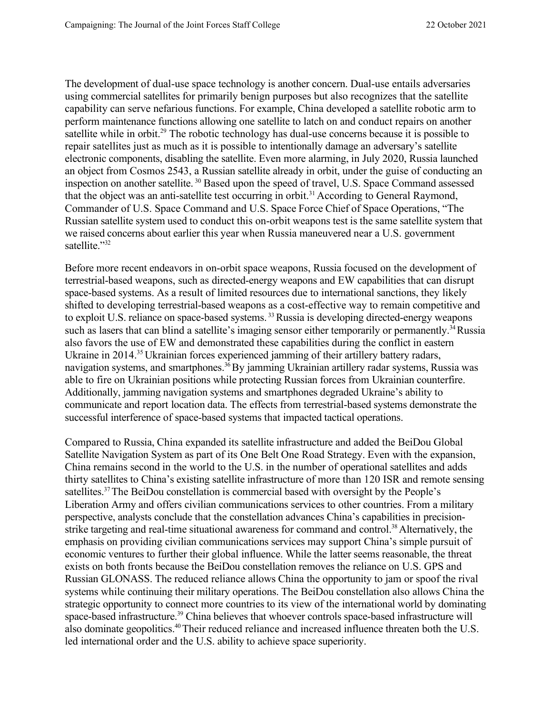The development of dual-use space technology is another concern. Dual-use entails adversaries using commercial satellites for primarily benign purposes but also recognizes that the satellite capability can serve nefarious functions. For example, China developed a satellite robotic arm to perform maintenance functions allowing one satellite to latch on and conduct repairs on another satellite while in orbit.<sup>29</sup> The robotic technology has dual-use concerns because it is possible to repair satellites just as much as it is possible to intentionally damage an adversary's satellite electronic components, disabling the satellite. Even more alarming, in July 2020, Russia launched an object from Cosmos 2543, a Russian satellite already in orbit, under the guise of conducting an inspection on another satellite. <sup>30</sup> Based upon the speed of travel, U.S. Space Command assessed that the object was an anti-satellite test occurring in orbit.<sup>31</sup> According to General Raymond, Commander of U.S. Space Command and U.S. Space Force Chief of Space Operations, "The Russian satellite system used to conduct this on-orbit weapons test is the same satellite system that we raised concerns about earlier this year when Russia maneuvered near a U.S. government satellite."32

Before more recent endeavors in on-orbit space weapons, Russia focused on the development of terrestrial-based weapons, such as directed-energy weapons and EW capabilities that can disrupt space-based systems. As a result of limited resources due to international sanctions, they likely shifted to developing terrestrial-based weapons as a cost-effective way to remain competitive and to exploit U.S. reliance on space-based systems.<sup>33</sup> Russia is developing directed-energy weapons such as lasers that can blind a satellite's imaging sensor either temporarily or permanently.<sup>34</sup>Russia also favors the use of EW and demonstrated these capabilities during the conflict in eastern Ukraine in 2014.<sup>35</sup> Ukrainian forces experienced jamming of their artillery battery radars, navigation systems, and smartphones.<sup>36</sup>By jamming Ukrainian artillery radar systems, Russia was able to fire on Ukrainian positions while protecting Russian forces from Ukrainian counterfire. Additionally, jamming navigation systems and smartphones degraded Ukraine's ability to communicate and report location data. The effects from terrestrial-based systems demonstrate the successful interference of space-based systems that impacted tactical operations.

Compared to Russia, China expanded its satellite infrastructure and added the BeiDou Global Satellite Navigation System as part of its One Belt One Road Strategy. Even with the expansion, China remains second in the world to the U.S. in the number of operational satellites and adds thirty satellites to China's existing satellite infrastructure of more than 120 ISR and remote sensing satellites.<sup>37</sup>The BeiDou constellation is commercial based with oversight by the People's Liberation Army and offers civilian communications services to other countries. From a military perspective, analysts conclude that the constellation advances China's capabilities in precisionstrike targeting and real-time situational awareness for command and control.<sup>38</sup> Alternatively, the emphasis on providing civilian communications services may support China's simple pursuit of economic ventures to further their global influence. While the latter seems reasonable, the threat exists on both fronts because the BeiDou constellation removes the reliance on U.S. GPS and Russian GLONASS. The reduced reliance allows China the opportunity to jam or spoof the rival systems while continuing their military operations. The BeiDou constellation also allows China the strategic opportunity to connect more countries to its view of the international world by dominating space-based infrastructure.<sup>39</sup> China believes that whoever controls space-based infrastructure will also dominate geopolitics.<sup>40</sup>Their reduced reliance and increased influence threaten both the U.S. led international order and the U.S. ability to achieve space superiority.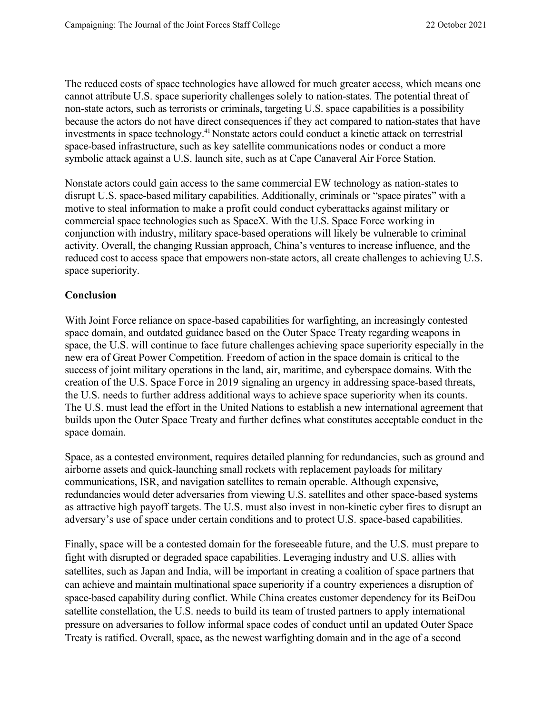The reduced costs of space technologies have allowed for much greater access, which means one cannot attribute U.S. space superiority challenges solely to nation-states. The potential threat of non-state actors, such as terrorists or criminals, targeting U.S. space capabilities is a possibility because the actors do not have direct consequences if they act compared to nation-states that have investments in space technology.<sup>41</sup> Nonstate actors could conduct a kinetic attack on terrestrial space-based infrastructure, such as key satellite communications nodes or conduct a more symbolic attack against a U.S. launch site, such as at Cape Canaveral Air Force Station.

Nonstate actors could gain access to the same commercial EW technology as nation-states to disrupt U.S. space-based military capabilities. Additionally, criminals or "space pirates" with a motive to steal information to make a profit could conduct cyberattacks against military or commercial space technologies such as SpaceX. With the U.S. Space Force working in conjunction with industry, military space-based operations will likely be vulnerable to criminal activity. Overall, the changing Russian approach, China's ventures to increase influence, and the reduced cost to access space that empowers non-state actors, all create challenges to achieving U.S. space superiority.

# **Conclusion**

With Joint Force reliance on space-based capabilities for warfighting, an increasingly contested space domain, and outdated guidance based on the Outer Space Treaty regarding weapons in space, the U.S. will continue to face future challenges achieving space superiority especially in the new era of Great Power Competition. Freedom of action in the space domain is critical to the success of joint military operations in the land, air, maritime, and cyberspace domains. With the creation of the U.S. Space Force in 2019 signaling an urgency in addressing space-based threats, the U.S. needs to further address additional ways to achieve space superiority when its counts. The U.S. must lead the effort in the United Nations to establish a new international agreement that builds upon the Outer Space Treaty and further defines what constitutes acceptable conduct in the space domain.

Space, as a contested environment, requires detailed planning for redundancies, such as ground and airborne assets and quick-launching small rockets with replacement payloads for military communications, ISR, and navigation satellites to remain operable. Although expensive, redundancies would deter adversaries from viewing U.S. satellites and other space-based systems as attractive high payoff targets. The U.S. must also invest in non-kinetic cyber fires to disrupt an adversary's use of space under certain conditions and to protect U.S. space-based capabilities.

Finally, space will be a contested domain for the foreseeable future, and the U.S. must prepare to fight with disrupted or degraded space capabilities. Leveraging industry and U.S. allies with satellites, such as Japan and India, will be important in creating a coalition of space partners that can achieve and maintain multinational space superiority if a country experiences a disruption of space-based capability during conflict. While China creates customer dependency for its BeiDou satellite constellation, the U.S. needs to build its team of trusted partners to apply international pressure on adversaries to follow informal space codes of conduct until an updated Outer Space Treaty is ratified. Overall, space, as the newest warfighting domain and in the age of a second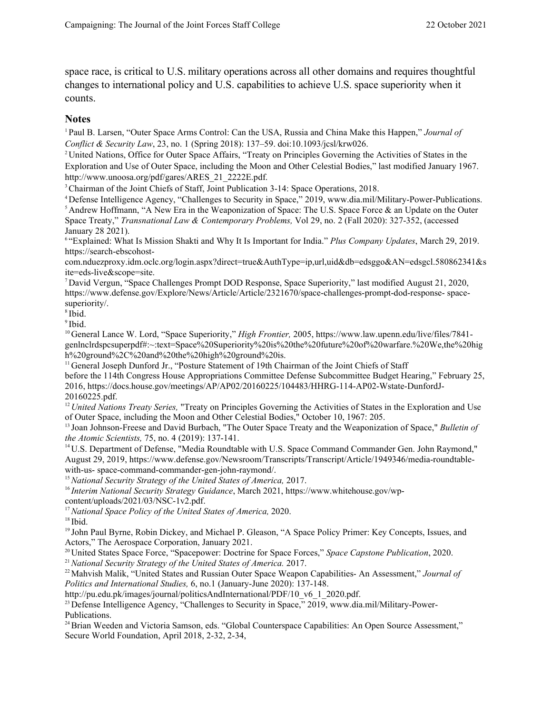space race, is critical to U.S. military operations across all other domains and requires thoughtful changes to international policy and U.S. capabilities to achieve U.S. space superiority when it counts.

#### **Notes**

<sup>1</sup> Paul B. Larsen, "Outer Space Arms Control: Can the USA, Russia and China Make this Happen," *Journal of Conflict & Security Law*, 23, no. 1 (Spring 2018): 137–59. doi:10.1093/jcsl/krw026.

<sup>2</sup> United Nations, Office for Outer Space Affairs, "Treaty on Principles Governing the Activities of States in the Exploration and Use of Outer Space, including the Moon and Other Celestial Bodies," last modified January 1967. [http://www.unoosa.org/pdf/gares/ARES\\_21\\_2222E.pdf.](http://www.unoosa.org/pdf/gares/ARES_21_2222E.pdf)

<sup>3</sup> Chairman of the Joint Chiefs of Staff, Joint Publication 3-14: Space Operations, 2018.

<sup>4</sup> Defense Intelligence Agency, "Challenges to Security in Space," 2019, [www.dia.mil/Military-Power-Publications.](http://www.dia.mil/Military-Power-Publications) <sup>5</sup> Andrew Hoffmann, "A New Era in the Weaponization of Space: The U.S. Space Force & an Update on the Outer Space Treaty," *Transnational Law & Contemporary Problems,* Vol 29, no. 2 (Fall 2020): 327-352, (accessed January 28 2021).

<sup>6</sup> "Explained: What Is Mission Shakti and Why It Is Important for India." *Plus Company Updates*, March 29, 2019. https://search-ebscohost-

com.nduezproxy.idm.oclc.org/login.aspx?direct=true&AuthType=ip,url,uid&db=edsggo&AN=edsgcl.580862341&s ite=eds-live&scope=site.

<sup>7</sup> David Vergun, "Space Challenges Prompt DOD Response, Space Superiority," last modified August 21, 2020, http[s://www.defense.gov/Explore/News/Article/Article/2321670/space-challenges-prompt-dod-response-](http://www.defense.gov/Explore/News/Article/Article/2321670/space-challenges-prompt-dod-response-) spacesuperiority/.

 $8$  Ibid.

<sup>9</sup> Ibid.

<sup>10</sup> General Lance W. Lord, "Space Superiority," *High Frontier,* 2005, http[s://www.law.upenn.edu/live/files/7841](http://www.law.upenn.edu/live/files/7841-) genlnclrdspcsuperpdf#:~:text=Space%20Superiority%20is%20the%20future%20of%20warfare.%20We,the%20hig h%20ground%2C%20and%20the%20high%20ground%20is.

<sup>11</sup> General Joseph Dunford Jr., "Posture Statement of 19th Chairman of the Joint Chiefs of Staff

before the 114th Congress House Appropriations Committee Defense Subcommittee Budget Hearing," February 25, 2016, https://docs.house.gov/meetings/AP/AP02/20160225/104483/HHRG-114-AP02-Wstate-DunfordJ-20160225.pdf.

<sup>12</sup> *United Nations Treaty Series*, "Treaty on Principles Governing the Activities of States in the Exploration and Use of Outer Space, including the Moon and Other Celestial Bodies," October 10, 1967: 205.

<sup>13</sup> Joan Johnson-Freese and David Burbach, "The Outer Space Treaty and the Weaponization of Space," *Bulletin of the Atomic Scientists,* 75, no. 4 (2019): 137-141.

<sup>14</sup> U.S. Department of Defense, "Media Roundtable with U.S. Space Command Commander Gen. John Raymond," August 29, 2019, http[s://www.defense.gov/Newsroom/Transcripts/Transcript/Article/1949346/media-roundtable](http://www.defense.gov/Newsroom/Transcripts/Transcript/Article/1949346/media-roundtable-with-us-)[with-us-](http://www.defense.gov/Newsroom/Transcripts/Transcript/Article/1949346/media-roundtable-with-us-) space-command-commander-gen-john-raymond/.

<sup>15</sup>*National Security Strategy of the United States of America,* 2017.

<sup>16</sup> *Interim National Security Strategy Guidance*, March 2021, http[s://www.whitehouse.gov/wp](http://www.whitehouse.gov/wp-content/uploads/2021/03/NSC-1v2.pdf)[content/uploads/2021/03/NSC-1v2.pdf.](http://www.whitehouse.gov/wp-content/uploads/2021/03/NSC-1v2.pdf)

<sup>17</sup>*National Space Policy of the United States of America,* 2020.

<sup>18</sup> Ibid.

<sup>19</sup> John Paul Byrne, Robin Dickey, and Michael P. Gleason, "A Space Policy Primer: Key Concepts, Issues, and Actors," The Aerospace Corporation, January 2021.

<sup>20</sup> United States Space Force, "Spacepower: Doctrine for Space Forces," *Space Capstone Publication*, 2020.

<sup>21</sup>*National Security Strategy of the United States of America.* 2017.

22Mahvish Malik, "United States and Russian Outer Space Weapon Capabilities- An Assessment," *Journal of Politics and International Studies,* 6, no.1 (January-June 2020): 137-148.

[http://pu.edu.pk/images/journal/politicsAndInternational/PDF/10\\_v6\\_1\\_2020.pdf.](http://pu.edu.pk/images/journal/politicsAndInternational/PDF/10_v6_1_2020.pdf)

<sup>23</sup> Defense Intelligence Agency, "Challenges to Security in Space," 2019, [www.dia.mil/Military-Power-](http://www.dia.mil/Military-Power-Publications)[Publications.](http://www.dia.mil/Military-Power-Publications)

<sup>24</sup> Brian Weeden and Victoria Samson, eds. "Global Counterspace Capabilities: An Open Source Assessment," Secure World Foundation, April 2018, 2-32, 2-34,